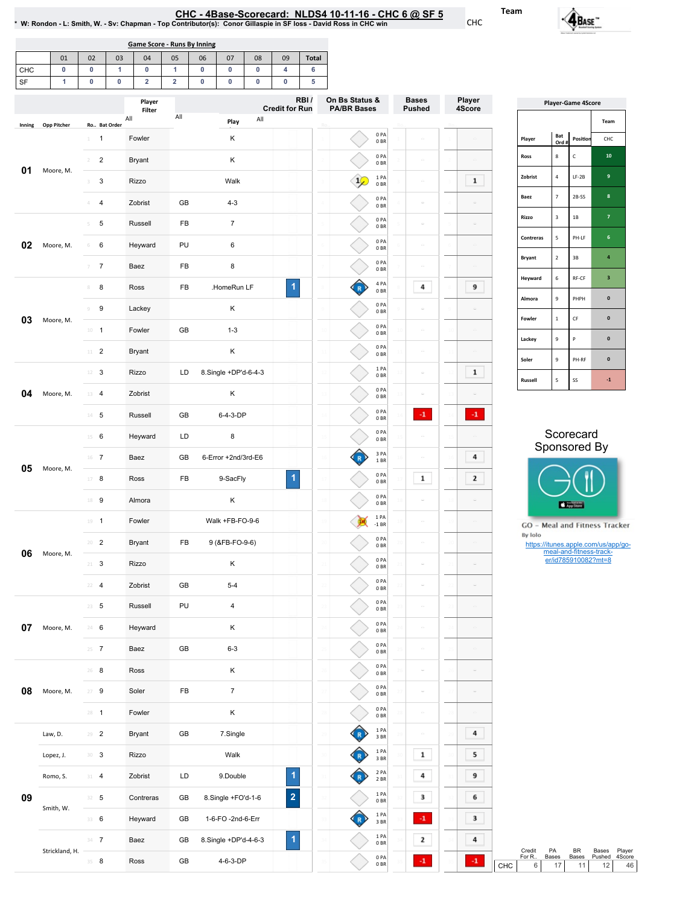## <u>CHC - 4Base-Scorecard: NLDS4 10-11-16 - CHC 6 @ SF 5</u><br>W: Rondon - L: Smith, W. - Sv: Chapman - Top Contributor(s): Conor Gillaspie in SF loss - David Ross in CHC win

0PA 0BR 0PA 0BR 1PA 0BR 0PA 0BR 0PA 0BR 0PA 0BR 0PA 0BR 4PA 0BR 0PA 0BR 0PA 0BR 0PA 0BR 1PA 0BR 0PA 0BR 0PA 0BR 0PA 0BR 3PA 1BR

 $\bigcirc$ 

∧

**R** 

Bases Pushed

 $\circ$ 

 $\circ$ 

 $\overline{4}$ 

 $\bar{\omega}$ 

 $\langle {\bf 4}\rangle$ 

 $\sim$ 

|                 | Game Score - Runs By Inning |                     |     |                  |     |    |      |     |                       |                        |  |  |  |  |
|-----------------|-----------------------------|---------------------|-----|------------------|-----|----|------|-----|-----------------------|------------------------|--|--|--|--|
|                 | 01                          | 02                  | 03  | 04               | 05  | 06 | 07   | 08  | 09                    | Total                  |  |  |  |  |
| CHC             | 0                           | 0                   |     | 0                |     | 0  | 0    | 0   | 4                     | 6                      |  |  |  |  |
| <b>SF</b>       |                             | o                   | 0   | 2                | 2   | 0  | 0    | o   | 0                     | 5                      |  |  |  |  |
|                 |                             |                     |     | Player<br>Filter |     |    |      |     | <b>Credit for Run</b> | On Bs Status &<br>RBI/ |  |  |  |  |
| $1 - 1 - 1 - 1$ | Completed the Contract of   | <b>De Det Order</b> | All |                  | All |    | Play | All |                       | <b>Charles</b>         |  |  |  |  |

1 1 Fowler K 2 2 Bryant K 3 3 Rizzo Walk 4 4 Zobrist GB 4-3

5 5 Russell FB 7 6 6 Heyward PU 6 7 **7** Baez FB 8

8 8 Ross FB .HomeRun LF 9 9 Lackey K 10 **1 Fowler GB** 1-3 11 2 Bryant K

12 3 Rizzo LD 8.Single+DP'd-6-4-3

13 4 Zobrist K

15 6 Heyward LD 8

14 5 Russell GB 6-4-3-DP

16 7 Baez GB 6-Error+2nd/3rd-E6

Inning Opp Pitcher Ro.. Bat Order

01 Moore, M.

**02** Moore, M.

03 Moore, M.

04 Moore, M.

|                |                         | <b>Player-Game 4Score</b> |                |
|----------------|-------------------------|---------------------------|----------------|
|                |                         |                           | Team           |
| Player         | Bat<br>Ord#             | Position                  | CHC            |
| Ross           | 8                       | C                         | 10             |
| Zobrist        | $\overline{4}$          | $LF-2B$                   | 9              |
| Baez           | 7                       | $2B-SS$                   | 8              |
| Rizzo          | 3                       | 1B                        | $\overline{z}$ |
| Contreras      | 5                       | PH-LF                     | 6              |
| <b>Bryant</b>  | $\overline{\mathbf{2}}$ | 3B                        | 4              |
| Heyward        | 6                       | RF-CF                     | 3              |
| Almora         | 9                       | PHPH                      | $\mathbf{0}$   |
| Fowler         | $\mathbf{1}$            | CF                        | $\mathbf{0}$   |
| Lackey         | 9                       | P                         | $\mathbf{0}$   |
| Soler          | 9                       | PH-RF                     | $\mathbf{0}$   |
| <b>Russell</b> | 5                       | SS                        | $-1$           |

### Scorecard Sponsored By



| 05 | Moore, M.      |           |          |               |    |                      |                |                           |                     |                          |                                                                                           |
|----|----------------|-----------|----------|---------------|----|----------------------|----------------|---------------------------|---------------------|--------------------------|-------------------------------------------------------------------------------------------|
|    |                | $17 - 8$  |          | Ross          | FB | 9-SacFly             | $\overline{1}$ | $0$ PA<br>0 <sub>BR</sub> | $\mathbf 1$         | $\mathbf{2}$             |                                                                                           |
|    |                |           | 18 9     | Almora        |    | Κ                    |                | 0PA<br>0B                 | $\bar{\omega}$      | $\bar{\omega}$           | App Store                                                                                 |
|    |                | $19 - 1$  |          | Fowler        |    | Walk +FB-FO-9-6      |                | 1 PA<br>$-1$ BR           | $\bar{\omega}$      | $\bar{\omega}$           | GO - Meal and Fitness Tracker                                                             |
| 06 | Moore, M.      | $20 - 2$  |          | <b>Bryant</b> | FB | 9 (&FB-FO-9-6)       |                | 0PA<br>0B                 | $\bar{\phantom{a}}$ | $\equiv$                 | By Iolo<br>https://itunes.apple.com/us/app/go-<br>meal-and-fitness-track-                 |
|    |                | $21 - 3$  |          | Rizzo         |    | Κ                    |                | 0PA<br>0B                 |                     | $\bar{\omega}$           | er/id785910082?mt=8                                                                       |
|    |                | $22 - 4$  |          | Zobrist       | GB | $5 - 4$              |                | 0PA<br>0 <sub>BR</sub>    | $\bar{a}$           | $\equiv$                 |                                                                                           |
|    |                | $23 \t 5$ |          | Russell       | PU | $\overline{4}$       |                | 0PA<br>0BR                | $\bar{\omega}$      | $\bar{\omega}$           |                                                                                           |
| 07 | Moore, M.      | $24 - 6$  |          | Heyward       |    | Κ                    |                | 0PA<br>0BR                | $\bar{\omega}$      | $\overline{\omega}$      |                                                                                           |
|    |                | $25 \t 7$ |          | Baez          | GB | $6 - 3$              |                | 0PA<br>0B                 | $\equiv$            | $\equiv$                 |                                                                                           |
|    |                | $26$ 8    |          | Ross          |    | Κ                    |                | 0 PA<br>0BR               | $\circ$             | $\bar{\omega}$           |                                                                                           |
| 08 | Moore, M.      | $27 - 9$  |          | Soler         | FB | $\overline{7}$       |                | 0PA<br>0BR                | $\sim$              | $\sim$                   |                                                                                           |
|    |                | $28 - 1$  |          | Fowler        |    | Κ                    |                | 0PA<br>0BR                | $\bar{\phantom{a}}$ | $\overline{\phantom{m}}$ |                                                                                           |
|    | Law, D.        |           | $29 - 2$ | <b>Bryant</b> | GB | 7.Single             |                | 1 PA<br>R<br>3 BR         | $\bar{\omega}$      | 4                        |                                                                                           |
|    | Lopez, J.      | $30-3$    |          | Rizzo         |    | Walk                 |                | 1 PA<br>R<br>3 BR         | $\mathbf 1$         | 5                        |                                                                                           |
|    | Romo, S.       |           | 31 4     | Zobrist       | LD | 9.Double             | 1              | 2 PA<br>R)<br>2 BR        | 4                   | 9                        |                                                                                           |
| 09 |                | $32 - 5$  |          | Contreras     | GB | 8.Single +FO'd-1-6   | $\mathbf 2$    | 1 PA<br>0B                | 3                   | 6                        |                                                                                           |
|    | Smith, W.      | 33 6      |          | Heyward       | GB | 1-6-FO -2nd-6-Err    |                | 1 PA<br>R<br>3 BR         | $\cdot 1$           | $\overline{\mathbf{3}}$  |                                                                                           |
|    | Strickland, H. |           | $34 - 7$ | Baez          | GB | 8.Single +DP'd-4-6-3 | $\overline{1}$ | 1 PA<br>0B                | $\mathbf{z}$        | 4                        | Credit<br>PA<br><b>BR</b><br>Bases                                                        |
|    |                |           | 35 8     | Ross          | GB | 4-6-3-DP             |                | $0$ PA<br>0B              | $^{-1}$             | $-1$                     | Player<br>4Score<br>For R<br>Pushed<br>Bases<br>Bases<br>CHC<br>6<br>17<br>12<br>46<br>11 |
|    |                |           |          |               |    |                      |                |                           |                     |                          |                                                                                           |



Team

CHC

Ro..

Player 4Score

 $\omega$ 

 $\overline{\mathbf{1}}$ 

 $\bar{\omega}$ 

 $\boldsymbol{9}$ 

 $\bar{a}$  $\mathbf{1}$ 

 $\langle {\bf 4}\rangle$ 

 $\overline{4}$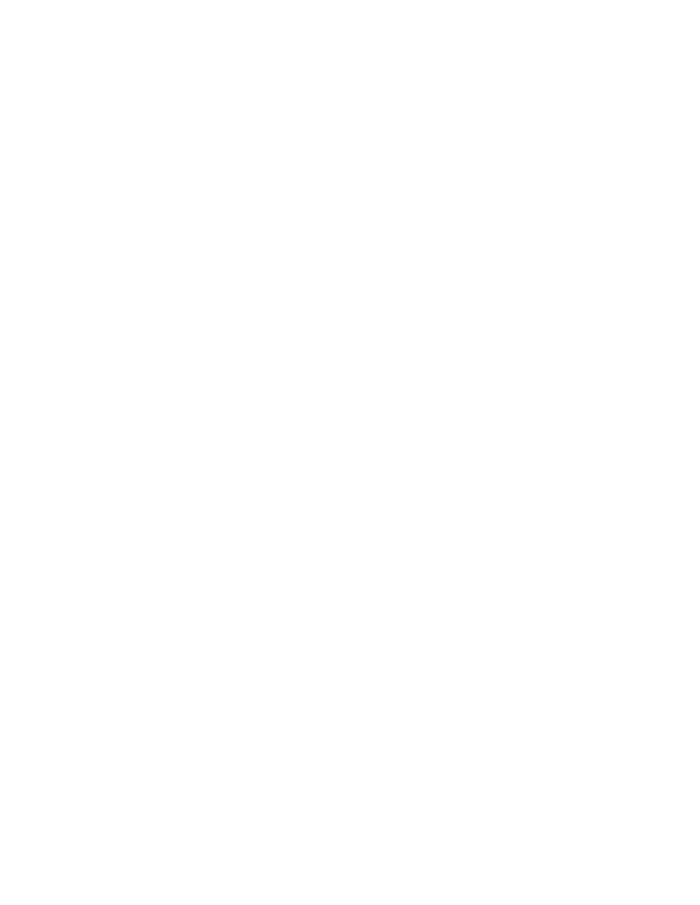|               | ìí                      | ìî                            | ÌΪ          | ìð                         | ìñ                   | ìò                                | ìó                           | ìô                   | ìõ             | d}šo         |                 |         |        |                                                                       |                 |                                    |                      |
|---------------|-------------------------|-------------------------------|-------------|----------------------------|----------------------|-----------------------------------|------------------------------|----------------------|----------------|--------------|-----------------|---------|--------|-----------------------------------------------------------------------|-----------------|------------------------------------|----------------------|
| $8 + 8$<br>6) |                         |                               |             |                            |                      |                                   |                              |                      |                |              |                 |         |        |                                                                       |                 |                                    |                      |
|               |                         |                               |             | WolÇŒ                      |                      |                                   |                              |                      |                | $5\%$        | 2 Q%V 6 VDWV    | %DVHV   | 300 HU |                                                                       |                 | WoÇŒE u ð^}Œ                       |                      |
|               |                         |                               |             | &još Œ<br>$^\circledR$     | $\pmb{\circledcirc}$ |                                   | ₩Ç                           | $\pmb{\circledcirc}$ | & UHGLWIRU5 XQ |              | 3\$ %5 %DVHV    | 3 XVKHG | 6FRUH  |                                                                       |                 |                                    | d u                  |
|               | /vv]vP K‰WjšZ0E         | $\mathbf{r}$                  | Z}XX ŠKOE C | ) RZ ®IU                   |                      |                                   | $\epsilon$                   |                      |                |              | i W<br>$i$ Z    |         |        | Wo Ç Œ                                                                | KCE             | VV - JŸ}                           | $^\circ$             |
|               |                         | $\hat{\perp}$                 |             | <b>%UDQW</b>               |                      |                                   | $\bullet$                    |                      |                |              | i W<br>$i$ Z    |         |        | Z} ••                                                                 | ô               |                                    | $\mathbf{ii}$        |
|               | $D$ } $GEDX$            | $\top$                        |             | $5 \,\sharp\,$ R           |                      |                                   | : DON                        |                      |                |              | í W             |         |        | •} O≣š                                                                | ð               | >&nî                               | $\tilde{\mathbf{o}}$ |
|               |                         | ð                             |             | $=$ REUMV                  | $*$ %                |                                   |                              |                      |                |              | $i$ Z<br>i W    |         |        | Ì.                                                                    | ó               | $i$ r <sup><math>\sim</math></sup> | ô                    |
|               |                         |                               |             |                            |                      |                                   |                              |                      |                |              | i Z<br>i W      |         |        | zjì ì }                                                               | Ï.              | Ĺ                                  | ó                    |
|               |                         | ñ                             |             | 5 XVMO                     | ) %                  |                                   |                              |                      |                |              | i Z<br>i W      |         |        | } všŒŒ•                                                               | ñ               | W r>&                              | ò                    |
|               | $D$ } $GEDX$            | ò                             |             | $+HZDUS$                   | 38                   |                                   |                              |                      |                |              | $i$ Z<br>i W    |         |        | 0Ç vš                                                                 | î               | ï.                                 | ð                    |
|               |                         | ó                             |             | %DHJ                       | ) %                  |                                   |                              |                      |                |              | ìZ              |         |        | , ÇÁ Œ                                                                | ò               | Z&r &                              | ï.                   |
|               |                         | ô                             |             | 5 RW                       | ) %                  |                                   | $+RP$ H <sub>5</sub> $XQ/$ ) |                      |                |              | ðW<br>$i$ Z     |         |        | $\omega \rangle$ OE                                                   | õ               | W W                                | ì                    |
|               | $D$ } GELD X            | õ                             |             | / DFNH                     |                      |                                   | $\sim 1000$ km s $^{-1}$     |                      |                |              | i W<br>$i$ Z    |         |        | &}ÁoOE                                                                | í               | &                                  | ì.                   |
|               |                         | fi.                           |             | ) RZ ONU                   | $*$ %                |                                   |                              |                      |                |              | i W<br>$i$ Z    |         |        | $>$   $\circ$                                                         | õ               | W                                  | ì                    |
|               |                         | íí                            |             | <b>VIOLAN</b>              |                      |                                   | $\sim$                       |                      |                |              | i W<br>$i$ Z    |         |        | $^{\wedge}$ } o Œ                                                     | õ               | WrZ&                               | ì.                   |
|               |                         | íî                            |             | $5 \text{ }\mathsf{I}$ ] R | $\prime$ .           |                                   | 6LQU191 '3 G                 |                      |                |              | í W<br>$i$ Z    |         |        | Zµ⊷ oo                                                                | ñ               | $\boldsymbol{\mathsf{M}}$          | rí                   |
|               | $D$ } $GEDX$            | $-11$                         |             | $=$ REUMV                  |                      |                                   | $\sim$                       |                      |                |              | i W<br>$i$ Z    |         |        |                                                                       |                 |                                    |                      |
| $D$ } $GLDX$  | íð                      |                               | 5 XVMO      | $*$ %                      |                      | '3                                |                              |                      |                | i W<br>$i$ Z |                 |         |        |                                                                       |                 |                                    |                      |
|               | íñ                      |                               | +H ZDG      | $\prime$ .                 |                      |                                   |                              |                      |                | i W<br>i Z   |                 |         |        |                                                                       | 6 FRU+FDUG      |                                    |                      |
|               | íò                      |                               | %DHJ        | $*$ %                      |                      | $($ URU $\circ$ CG $\circ$ CG $($ |                              |                      |                | ï W          |                 |         |        |                                                                       | 6 SRQVRUHG%     |                                    |                      |
|               | íó                      |                               | 5 RW        | ) %                        |                      | 6 DF) 0                           |                              |                      |                | $i$ Z<br>i W |                 |         |        |                                                                       |                 |                                    |                      |
|               |                         | íô                            |             | \$ @ RUD                   |                      |                                   |                              |                      |                |              | $i$ Z<br>i W    |         |        |                                                                       |                 |                                    |                      |
|               |                         |                               |             |                            |                      |                                   | $\sim 10^{-10}$              |                      |                |              | $i$ Z<br>í W    |         |        |                                                                       |                 |                                    |                      |
|               |                         | íõ                            |             | ) RZ ONU                   |                      |                                   | : DON $)$ %) 2               |                      |                |              | rí Z<br>i W     |         |        |                                                                       |                 |                                    |                      |
|               | $D$ } GELDX             | $\hat{1}$                     |             | <b>%UDQW</b>               | ) %                  |                                   | ) %) 2                       |                      |                |              | $i$ Z<br>i W    |         |        | KWASV LWACHVDSSOH FRP XVDSSJR<br>PHDODOG ILVOHAV VUDFN<br><b>HUIG</b> |                 |                                    | "PW                  |
|               |                         | îí                            |             | $5 \,\sharp\,$ R           |                      |                                   |                              |                      |                |              | i Z             |         |        |                                                                       |                 |                                    |                      |
|               |                         | îî                            |             | $=$ REUMV                  | $*$ %                |                                   |                              |                      |                |              | i W<br>$i$ Z    |         |        |                                                                       |                 |                                    |                      |
|               |                         | $\hat{1}$                     |             | 5 XVVHO                    | 38                   |                                   |                              |                      |                |              | i W<br>$i$ Z    |         |        |                                                                       |                 |                                    |                      |
|               | $D$ } GELDX             | îð                            |             | $+HZDUS$                   |                      |                                   | $\sim$                       |                      |                |              | i W<br>$i$ Z    |         |        |                                                                       |                 |                                    |                      |
|               |                         | îñ                            |             | %DHJ                       | $*$ %                |                                   |                              |                      |                |              | i W<br>$i$ Z    |         |        |                                                                       |                 |                                    |                      |
|               |                         | îò                            |             | 5 RW                       |                      |                                   | $\sim$                       |                      |                |              | i W<br>$i$ Z    |         |        |                                                                       |                 |                                    |                      |
|               | $D\}$ <b>CELD</b> X is  |                               |             | 6 ROHU                     | ) %                  |                                   |                              |                      |                |              | i W<br>$i$ Z    |         |        |                                                                       |                 |                                    |                      |
|               |                         | îô                            |             | ) RZ ®IU                   |                      |                                   | $\sim 10^{-10}$              |                      |                |              | i W<br>$i$ Z    |         |        |                                                                       |                 |                                    |                      |
|               | > ÁU X                  | Îõ                            |             | <b>%UDOW</b>               | $*$ %                |                                   | $61QJ$ $\Theta$              |                      |                |              | í W<br>$i$ Z    |         |        |                                                                       |                 |                                    |                      |
|               | → ‰Ì UX                 | $\top$ )                      |             | 5 L ] R                    |                      |                                   | : DON                        |                      |                |              | í W<br>$i \, z$ |         |        |                                                                       |                 |                                    |                      |
|               | Z} u } UNX              | Tí.                           |             | $=$ REUMV                  | $\prime$ .           |                                   | ' RXE®I                      |                      |                |              | îW              |         |        |                                                                       |                 |                                    |                      |
|               |                         | $-11$                         |             | & ROWHUDV                  | $*$ %                |                                   | 6LQJOH ) 2 G                 |                      |                |              | $i \, z$<br>i W |         |        |                                                                       |                 |                                    |                      |
|               | $\sim$ u jšZut X $\sim$ |                               |             |                            |                      |                                   |                              |                      |                |              | $i$ Z<br>i W    |         |        |                                                                       |                 |                                    |                      |
|               |                         | $-11$                         |             | +H ZDG                     | $*$ %                |                                   | ) 2 QG (W                    |                      |                |              | $i$ Z<br>i W    |         |        |                                                                       |                 |                                    |                      |
|               | ^šŒlov UX-              | $\ddot{a}$                    |             | %DHJ                       | $^*$ %               |                                   | 6LQJOH '3 G                  |                      |                |              | i Z             |         |        | &UHGLW<br>) RU5                                                       | $\frac{35}{20}$ | $\%5$<br>%DVHV 3XVKHG              | %DMHV 30 MHJ         |
|               |                         | $\overline{1}$ $\overline{0}$ |             | 5 RW                       | * $\%$               |                                   | $\overline{\phantom{a}}$ 3   |                      |                |              | i W<br>$i$ Z    |         |        | $8 + 8$                                                               |                 |                                    | 6 FRUH               |

 $\underbrace{8+8}_{\hspace{1cm}} \underline{8+8}_{\hspace{1cm}} \underline{9-D\!M\!H\!G\!F\!R\!U\!F\!D\!U\!G} \ \ 1' \ \ 6 \qquad \qquad 8+8 \ \#6)}$  : 5 RQQRQ / 6 PUM : 6 Y & KDSPDQ 7RS & RQMUEXMRUV & RQRU'LOODXSHILQ6) QRW 'DYLG5 RWLQ& + & ZLQ

 $\underline{\hspace{1cm}}$  u  $\wedge$  } OE r Zuv  $\bullet$  C/vv]vP

 $d$  u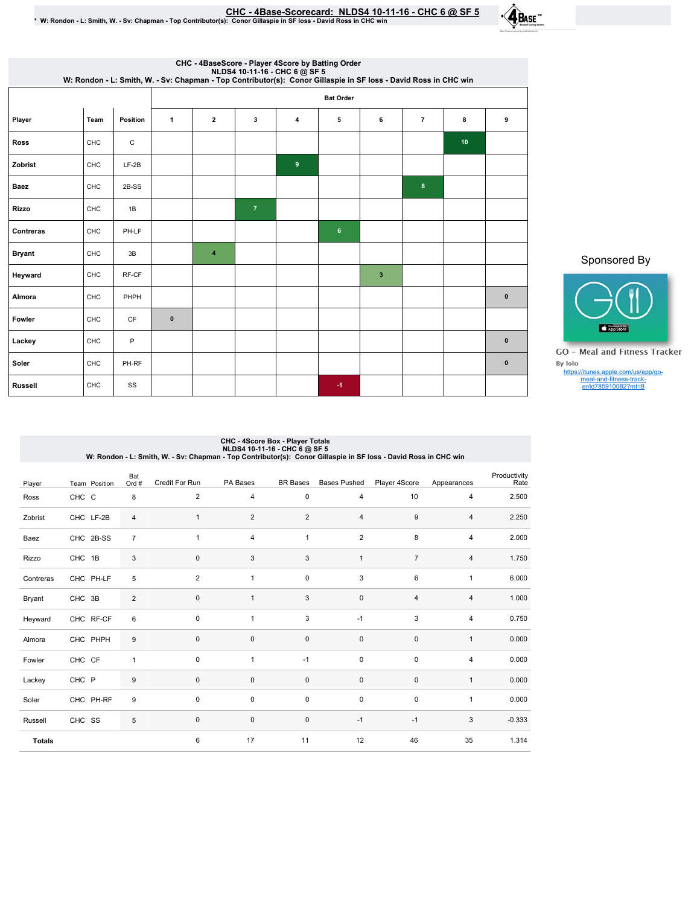<u>CHC - 4Base-Scorecard: NLDS4 10-11-16 - CHC 6 @ SF 5</u><br>W: Rondon - L: Smith, W. - Sv: Chapman - Top Contributor(s): Conor Gillaspie in SF loss - David Ross in CHC win



|                | NLDS4 10-11-16 - CHC 6 @ SF 5<br>W: Rondon - L: Smith, W. - Sv: Chapman - Top Contributor(s): Conor Gillaspie in SF loss - David Ross in CHC win |             |              |                         |                |                | CHC - 4BaseScore - Player 4Score by Batting Order |                         |                  |    |           |
|----------------|--------------------------------------------------------------------------------------------------------------------------------------------------|-------------|--------------|-------------------------|----------------|----------------|---------------------------------------------------|-------------------------|------------------|----|-----------|
|                |                                                                                                                                                  |             |              |                         |                |                | <b>Bat Order</b>                                  |                         |                  |    |           |
| Player         | Team                                                                                                                                             | Position    | 1            | $\overline{\mathbf{2}}$ | 3              | $\overline{4}$ | 5                                                 | 6                       | $\overline{7}$   | 8  | 9         |
| <b>Ross</b>    | CHC                                                                                                                                              | $\mathsf C$ |              |                         |                |                |                                                   |                         |                  | 10 |           |
| Zobrist        | CHC                                                                                                                                              | $LF-2B$     |              |                         |                | $\overline{9}$ |                                                   |                         |                  |    |           |
| <b>Baez</b>    | CHC                                                                                                                                              | 2B-SS       |              |                         |                |                |                                                   |                         | $\boldsymbol{8}$ |    |           |
| <b>Rizzo</b>   | CHC                                                                                                                                              | 1B          |              |                         | $\overline{7}$ |                |                                                   |                         |                  |    |           |
| Contreras      | CHC                                                                                                                                              | PH-LF       |              |                         |                |                | $6\phantom{a}$                                    |                         |                  |    |           |
| <b>Bryant</b>  | CHC                                                                                                                                              | 3B          |              | $\overline{\mathbf{4}}$ |                |                |                                                   |                         |                  |    |           |
| Heyward        | CHC                                                                                                                                              | RF-CF       |              |                         |                |                |                                                   | $\overline{\mathbf{3}}$ |                  |    |           |
| Almora         | CHC                                                                                                                                              | PHPH        |              |                         |                |                |                                                   |                         |                  |    | $\pmb{0}$ |
| Fowler         | CHC                                                                                                                                              | <b>CF</b>   | $\mathbf{0}$ |                         |                |                |                                                   |                         |                  |    |           |
| Lackey         | CHC                                                                                                                                              | P           |              |                         |                |                |                                                   |                         |                  |    | $\pmb{0}$ |
| Soler          | CHC                                                                                                                                              | PH-RF       |              |                         |                |                |                                                   |                         |                  |    | $\pmb{0}$ |
| <b>Russell</b> | CHC                                                                                                                                              | SS          |              |                         |                |                | $-1$                                              |                         |                  |    |           |

Sponsored By



GO - Meal and Fitness Tracker By Iolo https://itunes.apple.com/us/app/go-meal-and-fitness-track-er/id785910082?mt=8

## CHC - 4Score Box - Player Totals<br>NLDS4 10-11-16 - CHC - Stand Top Stand Top Stand Top SF<br>W: Rondon - L: Smith, W. - Sv: Chapman - Top Contributor(s): Conor Gillaspie in SF loss - David Ross in CHC win

| Player        | Team Position | Bat<br>Ord #   | Credit For Run | PA Bases       | <b>BR</b> Bases | <b>Bases Pushed</b> | Player 4Score  | Appearances  | Productivity<br>Rate |
|---------------|---------------|----------------|----------------|----------------|-----------------|---------------------|----------------|--------------|----------------------|
| Ross          | CHC C         | 8              | $\overline{2}$ | $\overline{4}$ | $\pmb{0}$       | 4                   | 10             | 4            | 2.500                |
| Zobrist       | CHC LF-2B     | $\overline{4}$ | $\mathbf{1}$   | $\overline{2}$ | $\overline{2}$  | 4                   | 9              | 4            | 2.250                |
| Baez          | CHC 2B-SS     | $\overline{7}$ | $\mathbf{1}$   | 4              | $\mathbf{1}$    | $\overline{2}$      | 8              | 4            | 2.000                |
| Rizzo         | CHC 1B        | 3              | $\pmb{0}$      | 3              | 3               | $\mathbf{1}$        | $\overline{7}$ | 4            | 1.750                |
| Contreras     | CHC PH-LF     | 5              | $\overline{2}$ | $\mathbf{1}$   | $\pmb{0}$       | 3                   | 6              | $\mathbf{1}$ | 6.000                |
| Bryant        | CHC 3B        | $\overline{2}$ | $\pmb{0}$      | $\mathbf{1}$   | 3               | $\pmb{0}$           | 4              | 4            | 1.000                |
| Heyward       | CHC RF-CF     | 6              | $\pmb{0}$      | 1              | 3               | $-1$                | 3              | 4            | 0.750                |
| Almora        | CHC PHPH      | 9              | $\mathbf 0$    | $\pmb{0}$      | $\pmb{0}$       | $\pmb{0}$           | $\pmb{0}$      | $\mathbf{1}$ | 0.000                |
| Fowler        | CHC CF        | $\mathbf{1}$   | $\mathbf 0$    | $\mathbf{1}$   | $-1$            | $\pmb{0}$           | $\pmb{0}$      | 4            | 0.000                |
| Lackey        | CHC P         | 9              | 0              | $\mathbf 0$    | 0               | $\mathbf 0$         | $\mathbf 0$    | $\mathbf{1}$ | 0.000                |
| Soler         | CHC PH-RF     | 9              | $\pmb{0}$      | 0              | $\pmb{0}$       | $\pmb{0}$           | $\pmb{0}$      | $\mathbf{1}$ | 0.000                |
| Russell       | CHC SS        | 5              | $\pmb{0}$      | $\mathbf 0$    | $\mathbf 0$     | $-1$                | $-1$           | 3            | $-0.333$             |
| <b>Totals</b> |               |                | 6              | 17             | 11              | 12                  | 46             | 35           | 1.314                |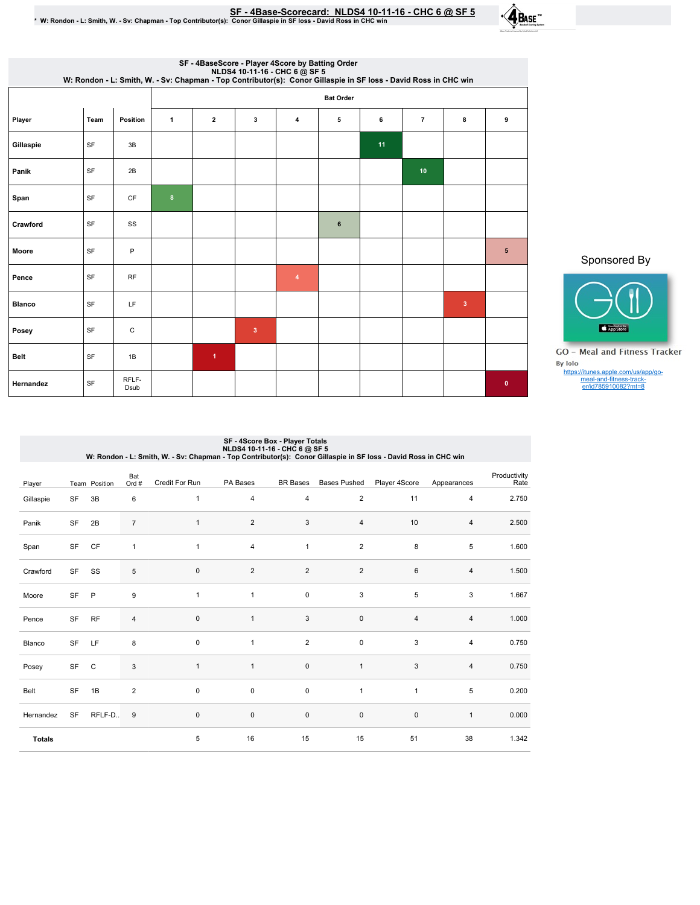SF - 4Base-Scorecard: NLDS4 10-11-16 - CHC 6 @ SF 5 . هي SF - 4Base-Scorecard: NLDS4 10-11-16 - CHC 6 & SF<br>W: Rondon - L: Smith, W. - Sv: Chapman - Top Contributor(s): Conor Gillaspie in SF loss - David Ross in CHC w



| SF - 4BaseScore - Player 4Score by Batting Order<br>NLDS4 10-11-16 - CHC 6 @ SF 5<br>W: Rondon - L: Smith, W. - Sv: Chapman - Top Contributor(s): Conor Gillaspie in SF loss - David Ross in CHC win |      |               |              |                         |                         |                |                  |    |                |                |           |  |  |  |
|------------------------------------------------------------------------------------------------------------------------------------------------------------------------------------------------------|------|---------------|--------------|-------------------------|-------------------------|----------------|------------------|----|----------------|----------------|-----------|--|--|--|
|                                                                                                                                                                                                      |      |               |              |                         |                         |                | <b>Bat Order</b> |    |                |                |           |  |  |  |
| Player                                                                                                                                                                                               | Team | Position      | $\mathbf{1}$ | $\overline{\mathbf{2}}$ | 3                       | 4              | 5                | 6  | $\overline{7}$ | 8              | 9         |  |  |  |
| Gillaspie                                                                                                                                                                                            | SF   | 3B            |              |                         |                         |                |                  | 11 |                |                |           |  |  |  |
| Panik                                                                                                                                                                                                | SF   | 2B            |              |                         |                         |                |                  |    | 10             |                |           |  |  |  |
| Span                                                                                                                                                                                                 | SF   | CF            | $\bf{8}$     |                         |                         |                |                  |    |                |                |           |  |  |  |
| Crawford                                                                                                                                                                                             | SF   | SS            |              |                         |                         |                | 6                |    |                |                |           |  |  |  |
| Moore                                                                                                                                                                                                | SF   | P             |              |                         |                         |                |                  |    |                |                | 5         |  |  |  |
| Pence                                                                                                                                                                                                | SF   | <b>RF</b>     |              |                         |                         | $\overline{4}$ |                  |    |                |                |           |  |  |  |
| <b>Blanco</b>                                                                                                                                                                                        | SF   | LF            |              |                         |                         |                |                  |    |                | 3 <sup>1</sup> |           |  |  |  |
| Posey                                                                                                                                                                                                | SF   | C             |              |                         | $\overline{\mathbf{3}}$ |                |                  |    |                |                |           |  |  |  |
| <b>Belt</b>                                                                                                                                                                                          | SF   | 1B            |              | $\blacktriangleleft$    |                         |                |                  |    |                |                |           |  |  |  |
| Hernandez                                                                                                                                                                                            | SF   | RFLF-<br>Dsub |              |                         |                         |                |                  |    |                |                | $\bullet$ |  |  |  |

Sponsored By



GO - Meal and Fitness Tracker By Iolo https://itunes.apple.com/us/app/go-meal-and-fitness-track-er/id785910082?mt=8

# SF - 4Score Box - Player Totals<br>NLDS4 10-11-16 - CHC 6 @ SF 5<br>W: Rondon - L: Smith, W. - Sv: Chapman - Top Contributor(s): Conor Gillaspie in SF loss - David Ross in CHC win

| Player        |    | Team Position | Bat<br>Ord #   | Credit For Run | PA Bases       | <b>BR</b> Bases | <b>Bases Pushed</b> | Player 4Score  | Appearances    | Productivity<br>Rate |
|---------------|----|---------------|----------------|----------------|----------------|-----------------|---------------------|----------------|----------------|----------------------|
| Gillaspie     | SF | 3B            | 6              | 1              | 4              | 4               | $\overline{2}$      | 11             | 4              | 2.750                |
| Panik         | SF | 2B            | $\overline{7}$ | $\mathbf{1}$   | $\overline{2}$ | 3               | 4                   | 10             | $\overline{4}$ | 2.500                |
| Span          | SF | CF            | 1              | $\mathbf{1}$   | $\overline{4}$ | $\mathbf{1}$    | $\overline{2}$      | 8              | 5              | 1.600                |
| Crawford      | SF | SS            | 5              | $\pmb{0}$      | 2              | $\overline{2}$  | $\overline{2}$      | 6              | $\overline{4}$ | 1.500                |
| Moore         | SF | P             | 9              | $\mathbf{1}$   | $\mathbf{1}$   | 0               | 3                   | 5              | 3              | 1.667                |
| Pence         | SF | <b>RF</b>     | $\overline{4}$ | $\mathbf 0$    | $\mathbf{1}$   | 3               | $\pmb{0}$           | $\overline{4}$ | $\overline{4}$ | 1.000                |
| Blanco        | SF | LF            | 8              | $\mathsf 0$    | $\mathbf{1}$   | $\overline{2}$  | $\pmb{0}$           | 3              | $\overline{4}$ | 0.750                |
| Posey         | SF | $\mathbf C$   | 3              | $\mathbf{1}$   | $\mathbf{1}$   | $\pmb{0}$       | $\mathbf{1}$        | 3              | $\overline{4}$ | 0.750                |
| Belt          | SF | 1B            | $\overline{2}$ | $\mathsf 0$    | $\mathbf 0$    | $\pmb{0}$       | $\mathbf{1}$        | $\mathbf{1}$   | 5              | 0.200                |
| Hernandez     | SF | RFLF-D        | 9              | $\pmb{0}$      | $\mathsf 0$    | $\pmb{0}$       | $\pmb{0}$           | $\pmb{0}$      | $\mathbf{1}$   | 0.000                |
| <b>Totals</b> |    |               |                | 5              | 16             | 15              | 15                  | 51             | 38             | 1.342                |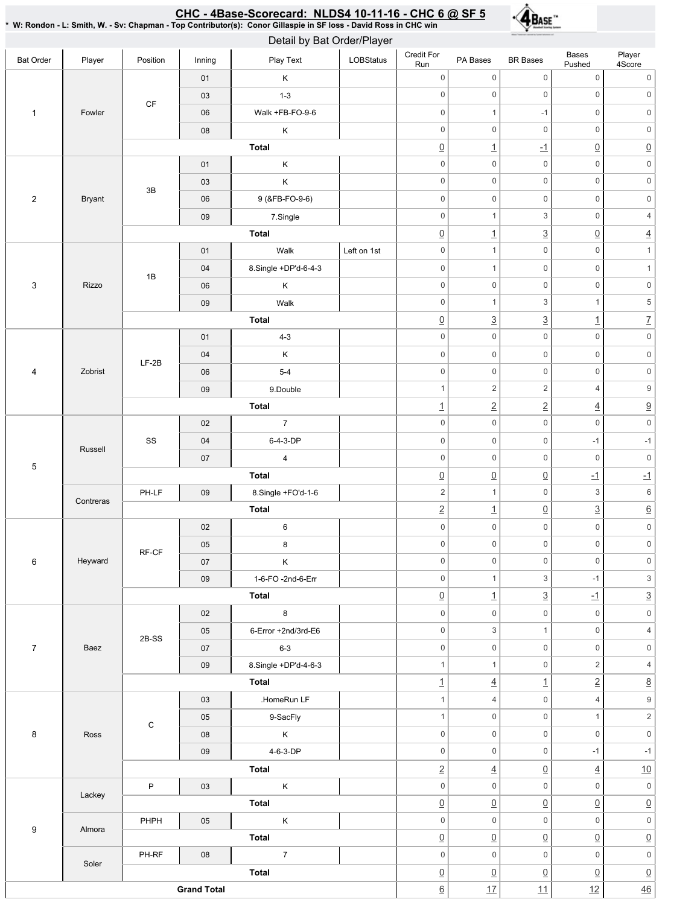### <u>CHC - 4Base-Scorecard: NLDS4 10-11-16 - CHC 6 @ SF 5</u>





|                    | Detail by Bat Order/Player |                        |        |                      |             |                     |                          |                     |                                                                                                                                                                                                                                                                                                                                                                                                                                                                                                                                                                                                                                                                                                                          |                           |  |  |  |
|--------------------|----------------------------|------------------------|--------|----------------------|-------------|---------------------|--------------------------|---------------------|--------------------------------------------------------------------------------------------------------------------------------------------------------------------------------------------------------------------------------------------------------------------------------------------------------------------------------------------------------------------------------------------------------------------------------------------------------------------------------------------------------------------------------------------------------------------------------------------------------------------------------------------------------------------------------------------------------------------------|---------------------------|--|--|--|
| <b>Bat Order</b>   | Player                     | Position               | Inning | Play Text            | LOBStatus   | Credit For<br>Run   | PA Bases                 | <b>BR</b> Bases     | Bases<br>Pushed                                                                                                                                                                                                                                                                                                                                                                                                                                                                                                                                                                                                                                                                                                          | Player<br>4Score          |  |  |  |
|                    |                            |                        | 01     | $\sf K$              |             | $\mathsf 0$         | $\mathsf{O}\xspace$      | $\mathbf 0$         | $\mathsf{O}\xspace$                                                                                                                                                                                                                                                                                                                                                                                                                                                                                                                                                                                                                                                                                                      | $\mathsf{0}$              |  |  |  |
|                    |                            | $\mathsf{C}\mathsf{F}$ | 03     | $1 - 3$              |             | $\mathsf{O}\xspace$ | $\mathsf{O}\xspace$      | $\mathbf 0$         | $\mathsf 0$                                                                                                                                                                                                                                                                                                                                                                                                                                                                                                                                                                                                                                                                                                              | $\mathsf 0$               |  |  |  |
| 1                  | Fowler                     |                        | 06     | Walk +FB-FO-9-6      |             | $\mathbf 0$         | $\mathbf{1}$             | $-1$                | $\mathsf{O}\xspace$                                                                                                                                                                                                                                                                                                                                                                                                                                                                                                                                                                                                                                                                                                      | $\mathsf{O}\xspace$       |  |  |  |
|                    |                            |                        | 08     | $\mathsf K$          |             | $\mathsf{O}\xspace$ | $\mathsf{O}\xspace$      | $\mathbf 0$         | $\mathbf 0$                                                                                                                                                                                                                                                                                                                                                                                                                                                                                                                                                                                                                                                                                                              | $\mathsf{O}\xspace$       |  |  |  |
|                    |                            |                        |        | Total                |             | $\underline{0}$     | $\overline{1}$           | $-1$                | $\underline{0}$<br>$\mathsf{O}\xspace$<br>$\mathbf 0$<br>$\mathbf 0$<br>$\mathsf 0$<br>$\underline{0}$<br>$\mathsf 0$<br>$\mathbf 0$<br>$\mathsf 0$<br>$\mathbf{1}$<br>$\overline{1}$<br>$\mathbf 0$<br>$\mathsf 0$<br>$\mathsf{O}\xspace$<br>$\overline{4}$<br>$\overline{4}$<br>$\mathbf 0$<br>$-1$<br>$\mathbf 0$<br>$-1$<br>$\ensuremath{\mathsf{3}}$<br>$\underline{3}$<br>$\pmb{0}$<br>$\mathsf 0$<br>$\mathbf 0$<br>$-1$<br>$-1$<br>$\mathsf 0$<br>$\mathsf 0$<br>$\mathsf{O}\xspace$<br>$\overline{c}$<br>$\underline{2}$<br>$\overline{4}$<br>$\mathbf{1}$<br>$\mathsf 0$<br>$-1$<br>$\overline{4}$<br>$\mathsf 0$<br>$\underline{0}$<br>$\mathsf 0$<br>$\underline{0}$<br>$\mathsf 0$<br>$\underline{0}$<br>12 | $\underline{0}$           |  |  |  |
|                    |                            |                        | 01     | $\mathsf K$          |             | $\mathsf{O}\xspace$ | $\mathsf{O}\xspace$      | $\mathsf 0$         |                                                                                                                                                                                                                                                                                                                                                                                                                                                                                                                                                                                                                                                                                                                          | $\mathsf{O}\xspace$       |  |  |  |
|                    |                            | 3B                     | 03     | $\sf K$              |             | $\mathsf{O}\xspace$ | $\mathsf{O}\xspace$      | $\mathbf 0$         |                                                                                                                                                                                                                                                                                                                                                                                                                                                                                                                                                                                                                                                                                                                          | $\mathsf{0}$              |  |  |  |
| $\overline{c}$     | <b>Bryant</b>              |                        | 06     | 9 (&FB-FO-9-6)       |             | $\mathsf{O}\xspace$ | $\mathsf{O}\xspace$      | $\mathsf 0$         |                                                                                                                                                                                                                                                                                                                                                                                                                                                                                                                                                                                                                                                                                                                          | $\mathsf{O}\xspace$       |  |  |  |
|                    |                            |                        | 09     | 7.Single             |             | $\mathsf{O}\xspace$ | $\mathbf{1}$             | 3                   |                                                                                                                                                                                                                                                                                                                                                                                                                                                                                                                                                                                                                                                                                                                          | $\overline{4}$            |  |  |  |
|                    |                            |                        |        | Total                |             | $\underline{0}$     | $\overline{1}$           | $\underline{3}$     |                                                                                                                                                                                                                                                                                                                                                                                                                                                                                                                                                                                                                                                                                                                          | $\overline{4}$            |  |  |  |
|                    |                            |                        | 01     | Walk                 | Left on 1st | $\mathsf{O}\xspace$ | $\mathbf{1}$             | $\mathsf{O}\xspace$ |                                                                                                                                                                                                                                                                                                                                                                                                                                                                                                                                                                                                                                                                                                                          | $\mathbf{1}$              |  |  |  |
|                    |                            | 1B                     | 04     | 8.Single +DP'd-6-4-3 |             | $\mathsf{O}\xspace$ | $\mathbf{1}$             | $\mathsf{O}\xspace$ |                                                                                                                                                                                                                                                                                                                                                                                                                                                                                                                                                                                                                                                                                                                          | $\mathbf{1}$              |  |  |  |
| 3                  | Rizzo                      |                        | 06     | $\mathsf K$          |             | $\mathsf{O}\xspace$ | $\mathsf 0$              | $\mathsf{O}\xspace$ |                                                                                                                                                                                                                                                                                                                                                                                                                                                                                                                                                                                                                                                                                                                          | $\mathsf{O}\xspace$       |  |  |  |
|                    |                            |                        | 09     | Walk                 |             | $\mathsf{O}\xspace$ | $\mathbf{1}$             | 3                   |                                                                                                                                                                                                                                                                                                                                                                                                                                                                                                                                                                                                                                                                                                                          | 5                         |  |  |  |
|                    |                            |                        |        | Total                |             | $\underline{0}$     | $\underline{3}$          | $\underline{3}$     |                                                                                                                                                                                                                                                                                                                                                                                                                                                                                                                                                                                                                                                                                                                          | $\underline{7}$           |  |  |  |
|                    |                            |                        | 01     | $4 - 3$              |             | $\mathsf{O}\xspace$ | $\mathsf 0$              | $\mathsf 0$         |                                                                                                                                                                                                                                                                                                                                                                                                                                                                                                                                                                                                                                                                                                                          | $\mathsf{O}\xspace$       |  |  |  |
|                    |                            | $LF-2B$                | 04     | Κ                    |             | $\mathsf{O}\xspace$ | $\mathsf{O}\xspace$      | $\mathsf{O}\xspace$ |                                                                                                                                                                                                                                                                                                                                                                                                                                                                                                                                                                                                                                                                                                                          | $\mathsf{O}\xspace$       |  |  |  |
| 4                  | Zobrist                    |                        | 06     | $5-4$                |             | $\mathsf{O}\xspace$ | $\mathsf 0$              | $\mathsf{O}\xspace$ |                                                                                                                                                                                                                                                                                                                                                                                                                                                                                                                                                                                                                                                                                                                          | $\mathsf{O}\xspace$       |  |  |  |
|                    |                            |                        | 09     | 9.Double             |             | $\mathbf{1}$        | $\overline{2}$           | $\overline{c}$      |                                                                                                                                                                                                                                                                                                                                                                                                                                                                                                                                                                                                                                                                                                                          | $\boldsymbol{9}$          |  |  |  |
|                    |                            |                        |        | Total                |             | $\overline{1}$      | $\underline{2}$          | $\underline{2}$     |                                                                                                                                                                                                                                                                                                                                                                                                                                                                                                                                                                                                                                                                                                                          | $\underline{9}$           |  |  |  |
|                    |                            |                        | 02     | $\overline{7}$       |             | $\mathsf{O}\xspace$ | $\mathsf 0$              | $\mathsf 0$         |                                                                                                                                                                                                                                                                                                                                                                                                                                                                                                                                                                                                                                                                                                                          | $\mathsf{O}\xspace$       |  |  |  |
| Russell            |                            | SS                     | 04     | 6-4-3-DP             |             | $\mathsf{O}\xspace$ | $\mathsf 0$              | $\mathsf{O}\xspace$ |                                                                                                                                                                                                                                                                                                                                                                                                                                                                                                                                                                                                                                                                                                                          | $-1$                      |  |  |  |
| 5                  |                            |                        | 07     | $\overline{4}$       |             | $\mathsf{O}\xspace$ | $\mathsf 0$              | $\mathbf 0$         |                                                                                                                                                                                                                                                                                                                                                                                                                                                                                                                                                                                                                                                                                                                          | $\mathsf{O}\xspace$       |  |  |  |
|                    |                            |                        |        | Total                |             | $\underline{0}$     | $\underline{0}$          | $\underline{0}$     |                                                                                                                                                                                                                                                                                                                                                                                                                                                                                                                                                                                                                                                                                                                          | $-1$                      |  |  |  |
|                    | Contreras                  | PH-LF                  | 09     | 8.Single +FO'd-1-6   |             | $\overline{2}$      | $\mathbf{1}$             | $\mathbf 0$         |                                                                                                                                                                                                                                                                                                                                                                                                                                                                                                                                                                                                                                                                                                                          | $\,6\,$                   |  |  |  |
|                    |                            |                        |        | Total                |             | $\underline{2}$     | $\overline{1}$           | $\underline{0}$     |                                                                                                                                                                                                                                                                                                                                                                                                                                                                                                                                                                                                                                                                                                                          | $\underline{6}$           |  |  |  |
|                    |                            |                        | 02     | $\,6\,$              |             | $\mathsf{O}\xspace$ | $\mathbf 0$              | $\mathsf 0$         |                                                                                                                                                                                                                                                                                                                                                                                                                                                                                                                                                                                                                                                                                                                          | $\mathsf{O}\xspace$       |  |  |  |
|                    |                            | $RF-CF$                | 05     | 8                    |             | $\mathsf{O}\xspace$ | $\mathsf{O}\xspace$      | $\mathsf 0$         |                                                                                                                                                                                                                                                                                                                                                                                                                                                                                                                                                                                                                                                                                                                          | $\mathsf{O}\xspace$       |  |  |  |
| 6                  | Heyward                    |                        | 07     | Κ                    |             | $\mathsf{O}\xspace$ | $\mathsf{O}\xspace$      | $\mathsf 0$         |                                                                                                                                                                                                                                                                                                                                                                                                                                                                                                                                                                                                                                                                                                                          | $\mathsf{O}\xspace$       |  |  |  |
|                    |                            |                        | 09     | 1-6-FO -2nd-6-Err    |             | $\mathsf{O}\xspace$ | $\mathbf{1}$             | 3                   |                                                                                                                                                                                                                                                                                                                                                                                                                                                                                                                                                                                                                                                                                                                          | $\ensuremath{\mathsf{3}}$ |  |  |  |
|                    |                            |                        |        | Total                |             | $\underline{0}$     | $\underline{\mathbf{1}}$ | $\underline{3}$     |                                                                                                                                                                                                                                                                                                                                                                                                                                                                                                                                                                                                                                                                                                                          | $\overline{3}$            |  |  |  |
|                    |                            |                        | 02     | $\bf{8}$             |             | $\mathbf 0$         | $\mathsf{O}\xspace$      | $\mathsf 0$         |                                                                                                                                                                                                                                                                                                                                                                                                                                                                                                                                                                                                                                                                                                                          | $\mathsf{O}\xspace$       |  |  |  |
|                    |                            | $2B-SS$                | 05     | 6-Error +2nd/3rd-E6  |             | $\mathbf 0$         | $\,3$                    | $\mathbf{1}$        |                                                                                                                                                                                                                                                                                                                                                                                                                                                                                                                                                                                                                                                                                                                          | $\overline{4}$            |  |  |  |
| $\overline{7}$     | Baez                       |                        | 07     | $6 - 3$              |             | $\mathbf 0$         | $\mathsf{O}\xspace$      | $\mathsf 0$         |                                                                                                                                                                                                                                                                                                                                                                                                                                                                                                                                                                                                                                                                                                                          | $\mathsf{O}\xspace$       |  |  |  |
|                    |                            |                        | 09     | 8.Single +DP'd-4-6-3 |             | $\mathbf{1}$        | $\mathbf{1}$             | $\mathsf 0$         |                                                                                                                                                                                                                                                                                                                                                                                                                                                                                                                                                                                                                                                                                                                          | $\overline{4}$            |  |  |  |
|                    |                            |                        |        | <b>Total</b>         |             | $\overline{1}$      | $\underline{4}$          | $\overline{1}$      |                                                                                                                                                                                                                                                                                                                                                                                                                                                                                                                                                                                                                                                                                                                          | $\underline{8}$           |  |  |  |
|                    |                            |                        | 03     | .HomeRun LF          |             | $\mathbf{1}$        | $\overline{4}$           | $\mathsf 0$         |                                                                                                                                                                                                                                                                                                                                                                                                                                                                                                                                                                                                                                                                                                                          | $\boldsymbol{9}$          |  |  |  |
|                    |                            | С                      | 05     | 9-SacFly             |             | $\mathbf{1}$        | $\mathsf 0$              | $\mathsf 0$         |                                                                                                                                                                                                                                                                                                                                                                                                                                                                                                                                                                                                                                                                                                                          | $\sqrt{2}$                |  |  |  |
| 8                  | Ross                       |                        | 08     | K                    |             | $\mathbf 0$         | $\mathsf{O}$             | $\mathsf{O}\xspace$ |                                                                                                                                                                                                                                                                                                                                                                                                                                                                                                                                                                                                                                                                                                                          | $\mathsf{O}\xspace$       |  |  |  |
|                    |                            |                        | 09     | 4-6-3-DP             |             | $\mathbf 0$         | $\mathsf 0$              | $\mathbf 0$         |                                                                                                                                                                                                                                                                                                                                                                                                                                                                                                                                                                                                                                                                                                                          | $-1$                      |  |  |  |
|                    |                            |                        |        | <b>Total</b>         |             | $\underline{2}$     | $\underline{4}$          | $\underline{0}$     |                                                                                                                                                                                                                                                                                                                                                                                                                                                                                                                                                                                                                                                                                                                          | 10                        |  |  |  |
|                    | Lackey                     | $\mathsf P$            | 03     | $\mathsf K$          |             | $\mathsf{O}\xspace$ | $\mathsf 0$              | $\mathsf 0$         |                                                                                                                                                                                                                                                                                                                                                                                                                                                                                                                                                                                                                                                                                                                          | $\mathsf{O}\xspace$       |  |  |  |
|                    |                            |                        |        | <b>Total</b>         |             | $\underline{0}$     | $\underline{0}$          | $\underline{0}$     |                                                                                                                                                                                                                                                                                                                                                                                                                                                                                                                                                                                                                                                                                                                          | $\underline{0}$           |  |  |  |
| 9                  | Almora                     | PHPH                   | 05     | $\mathsf K$          |             | $\mathbf 0$         | $\mathsf 0$              | $\mathsf{O}\xspace$ |                                                                                                                                                                                                                                                                                                                                                                                                                                                                                                                                                                                                                                                                                                                          | $\mathsf{O}\xspace$       |  |  |  |
|                    |                            |                        |        | <b>Total</b>         |             | $\underline{0}$     | $\underline{0}$          | $\underline{0}$     |                                                                                                                                                                                                                                                                                                                                                                                                                                                                                                                                                                                                                                                                                                                          | $\underline{0}$           |  |  |  |
|                    | Soler                      | PH-RF                  | 08     | $\overline{7}$       |             | $\mathbf 0$         | $\mathsf{O}\xspace$      | $\mathsf{O}\xspace$ |                                                                                                                                                                                                                                                                                                                                                                                                                                                                                                                                                                                                                                                                                                                          | $\mathsf{O}\xspace$       |  |  |  |
| <b>Total</b>       |                            |                        |        |                      |             | $\underline{0}$     | $\underline{0}$          | $\underline{0}$     |                                                                                                                                                                                                                                                                                                                                                                                                                                                                                                                                                                                                                                                                                                                          | $\underline{0}$           |  |  |  |
| <b>Grand Total</b> |                            |                        |        |                      |             | $\underline{6}$     | 17                       | 11                  |                                                                                                                                                                                                                                                                                                                                                                                                                                                                                                                                                                                                                                                                                                                          | $\underline{46}$          |  |  |  |